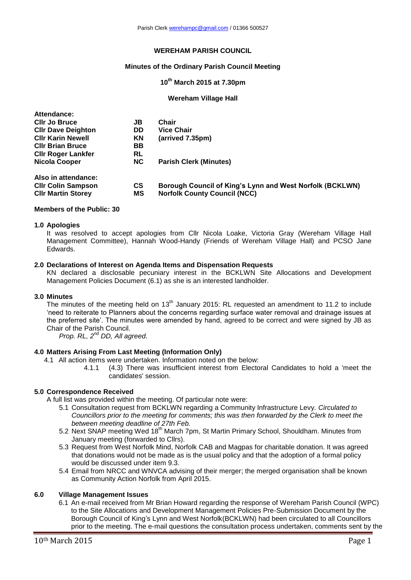## **WEREHAM PARISH COUNCIL**

## **Minutes of the Ordinary Parish Council Meeting**

# **10 th March 2015 at 7.30pm**

### **Wereham Village Hall**

| Attendance:               |               |                                                          |
|---------------------------|---------------|----------------------------------------------------------|
| <b>CIIr Jo Bruce</b>      | JB            | Chair                                                    |
| <b>CIIr Dave Deighton</b> | DD            | <b>Vice Chair</b>                                        |
| <b>CIIr Karin Newell</b>  | ΚN            | (arrived 7.35pm)                                         |
| <b>CIIr Brian Bruce</b>   | ВB            |                                                          |
| <b>Cllr Roger Lankfer</b> | RL            |                                                          |
| <b>Nicola Cooper</b>      | <b>NC</b>     | <b>Parish Clerk (Minutes)</b>                            |
| Also in attendance:       |               |                                                          |
| <b>CIIr Colin Sampson</b> | $\mathsf{cs}$ | Borough Council of King's Lynn and West Norfolk (BCKLWN) |
| <b>CIIr Martin Storey</b> | МS            | <b>Norfolk County Council (NCC)</b>                      |

### **Members of the Public: 30**

### **1.0 Apologies**

It was resolved to accept apologies from Cllr Nicola Loake, Victoria Gray (Wereham Village Hall Management Committee), Hannah Wood-Handy (Friends of Wereham Village Hall) and PCSO Jane Edwards.

### **2.0 Declarations of Interest on Agenda Items and Dispensation Requests**

KN declared a disclosable pecuniary interest in the BCKLWN Site Allocations and Development Management Policies Document (6.1) as she is an interested landholder.

### **3.0 Minutes**

The minutes of the meeting held on  $13<sup>th</sup>$  January 2015: RL requested an amendment to 11.2 to include 'need to reiterate to Planners about the concerns regarding surface water removal and drainage issues at the preferred site'. The minutes were amended by hand, agreed to be correct and were signed by JB as Chair of the Parish Council.

*Prop. RL, 2nd DD, All agreed.*

# **4.0 Matters Arising From Last Meeting (Information Only)**

4.1 All action items were undertaken. Information noted on the below:

4.1.1 (4.3) There was insufficient interest from Electoral Candidates to hold a 'meet the candidates' session.

## **5.0 Correspondence Received**

A full list was provided within the meeting. Of particular note were:

- 5.1 Consultation request from BCKLWN regarding a Community Infrastructure Levy. *Circulated to Councillors prior to the meeting for comments; this was then forwarded by the Clerk to meet the between meeting deadline of 27th Feb.*
- 5.2 Next SNAP meeting Wed 18<sup>th</sup> March 7pm, St Martin Primary School, Shouldham. Minutes from January meeting (forwarded to Cllrs).
- 5.3 Request from West Norfolk Mind, Norfolk CAB and Magpas for charitable donation. It was agreed that donations would not be made as is the usual policy and that the adoption of a formal policy would be discussed under item 9.3.
- 5.4 Email from NRCC and WNVCA advising of their merger; the merged organisation shall be known as Community Action Norfolk from April 2015.

### **6.0 Village Management Issues**

6.1 An e-mail received from Mr Brian Howard regarding the response of Wereham Parish Council (WPC) to the Site Allocations and Development Management Policies Pre-Submission Document by the Borough Council of King's Lynn and West Norfolk(BCKLWN) had been circulated to all Councillors prior to the meeting. The e-mail questions the consultation process undertaken, comments sent by the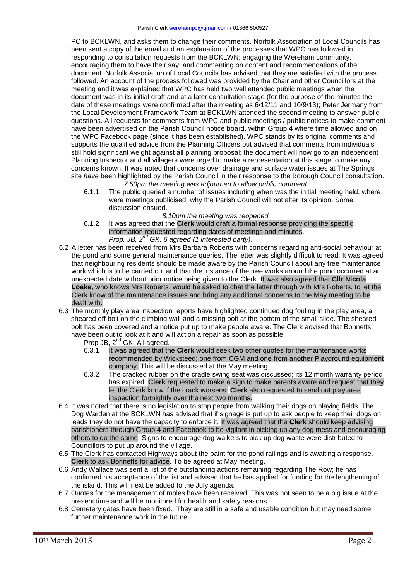PC to BCKLWN, and asks them to change their comments. Norfolk Association of Local Councils has been sent a copy of the email and an explanation of the processes that WPC has followed in responding to consultation requests from the BCKLWN; engaging the Wereham community, encouraging them to have their say; and commenting on content and recommendations of the document. Norfolk Association of Local Councils has advised that they are satisfied with the process followed. An account of the process followed was provided by the Chair and other Councillors at the meeting and it was explained that WPC has held two well attended public meetings when the document was in its initial draft and at a later consultation stage (for the purpose of the minutes the date of these meetings were confirmed after the meeting as 6/12/11 and 10/9/13); Peter Jermany from the Local Development Framework Team at BCKLWN attended the second meeting to answer public questions. All requests for comments from WPC and public meetings / public notices to make comment have been advertised on the Parish Council notice board, within Group 4 where time allowed and on the WPC Facebook page (since it has been established). WPC stands by its original comments and supports the qualified advice from the Planning Officers but advised that comments from individuals still hold significant weight against all planning proposal; the document will now go to an independent Planning Inspector and all villagers were urged to make a representation at this stage to make any concerns known. It was noted that concerns over drainage and surface water issues at The Springs site *have* been highlighted by the Parish Council in their response to the Borough Council consultation. *7.50pm the meeting was adjourned to allow public comment.*

- 6.1.1 The public queried a number of issues including when was the initial meeting held, where were meetings publicised, why the Parish Council will not alter its opinion. Some discussion ensued.
	- *8.10pm the meeting was reopened.*
- 6.1.2 It was agreed that the **Clerk** would draft a formal response providing the specific information requested regarding dates of meetings and minutes. *Prop. JB, 2nd GK, 6 agreed (1 interested party).*
- 6.2 A letter has been received from Mrs Barbara Roberts with concerns regarding anti-social behaviour at the pond and some general maintenance queries. The letter was slightly difficult to read. It was agreed that neighbouring residents should be made aware by the Parish Council about any tree maintenance work which is to be carried out and that the instance of the tree works around the pond occurred at an unexpected date without prior notice being given to the Clerk. It was also agreed that **Cllr Nicola Loake,** who knows Mrs Roberts, would be asked to chat the letter through with Mrs Roberts, to let the Clerk know of the maintenance issues and bring any additional concerns to the May meeting to be dealt with.
- 6.3 The monthly play area inspection reports have highlighted continued dog fouling in the play area, a sheared off bolt on the climbing wall and a missing bolt at the bottom of the small slide. The sheared bolt has been covered and a notice put up to make people aware. The Clerk advised that Bonnetts have been out to look at it and will action a repair as soon as possible.

Prop JB, 2<sup>nd</sup> GK, All agreed.

- 6.3.1 It was agreed that the **Clerk** would seek two other quotes for the maintenance works recommended by Wicksteed; one from CGM and one from another Playground equipment company. This will be discussed at the May meeting.
- 6.3.2 The cracked rubber on the cradle swing seat was discussed; its 12 month warranty period has expired. **Clerk** requested to make a sign to make parents aware and request that they let the Clerk know if the crack worsens. **Clerk** also requested to send out play area inspection fortnightly over the next two months.
- 6.4 It was noted that there is no legislation to stop people from walking their dogs on playing fields. The Dog Warden at the BCKLWN has advised that if signage is put up to ask people to keep their dogs on leads they do not have the capacity to enforce it. It was agreed that the **Clerk** should keep advising parishioners through Group 4 and Facebook to be vigilant in picking up any dog mess and encouraging others to do the same. Signs to encourage dog walkers to pick up dog waste were distributed to Councillors to put up around the village.
- 6.5 The Clerk has contacted Highways about the paint for the pond railings and is awaiting a response. **Clerk** to ask Bonnetts for advice. To be agreed at May meeting.
- 6.6 Andy Wallace was sent a list of the outstanding actions remaining regarding The Row; he has confirmed his acceptance of the list and advised that he has applied for funding for the lengthening of the island. This will next be added to the July agenda.
- 6.7 Quotes for the management of moles have been received. This was not seen to be a big issue at the present time and will be monitored for health and safety reasons.
- 6.8 Cemetery gates have been fixed. They are still in a safe and usable condition but may need some further maintenance work in the future.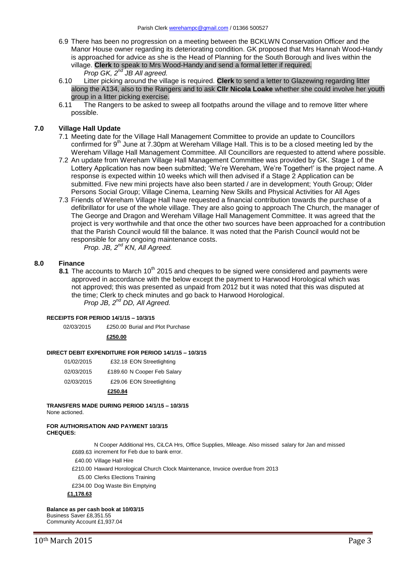- 6.9 There has been no progression on a meeting between the BCKLWN Conservation Officer and the Manor House owner regarding its deteriorating condition. GK proposed that Mrs Hannah Wood-Handy is approached for advice as she is the Head of Planning for the South Borough and lives within the village. **Clerk** to speak to Mrs Wood-Handy and send a formal letter if required.
	- *Prop GK, 2nd JB All agreed.*
- 6.10 Litter picking around the village is required. **Clerk** to send a letter to Glazewing regarding litter along the A134, also to the Rangers and to ask **Cllr Nicola Loake** whether she could involve her youth group in a litter picking exercise.
- 6.11 The Rangers to be asked to sweep all footpaths around the village and to remove litter where possible.

### **7.0 Village Hall Update**

- 7.1 Meeting date for the Village Hall Management Committee to provide an update to Councillors confirmed for 9<sup>th</sup> June at 7.30pm at Wereham Village Hall. This is to be a closed meeting led by the Wereham Village Hall Management Committee. All Councillors are requested to attend where possible.
- 7.2 An update from Wereham Village Hall Management Committee was provided by GK. Stage 1 of the Lottery Application has now been submitted; 'We're Wereham, We're Together!' is the project name. A response is expected within 10 weeks which will then advised if a Stage 2 Application can be submitted. Five new mini projects have also been started / are in development; Youth Group; Older Persons Social Group; Village Cinema, Learning New Skills and Physical Activities for All Ages
- 7.3 Friends of Wereham Village Hall have requested a financial contribution towards the purchase of a defibrillator for use of the whole village. They are also going to approach The Church, the manager of The George and Dragon and Wereham Village Hall Management Committee. It was agreed that the project is very worthwhile and that once the other two sources have been approached for a contribution that the Parish Council would fill the balance. It was noted that the Parish Council would not be responsible for any ongoing maintenance costs.

*Prop. JB, 2nd KN, All Agreed.*

#### **8.0 Finance**

8.1 The accounts to March 10<sup>th</sup> 2015 and cheques to be signed were considered and payments were approved in accordance with the below except the payment to Harwood Horological which was not approved; this was presented as unpaid from 2012 but it was noted that this was disputed at the time; Clerk to check minutes and go back to Harwood Horological. *Prop JB, 2nd DD, All Agreed.*

#### **RECEIPTS FOR PERIOD 14/1/15 – 10/3/15**

02/03/2015 £250.00 Burial and Plot Purchase

### **£250.00**

#### **DIRECT DEBIT EXPENDITURE FOR PERIOD 14/1/15 – 10/3/15**

| 01/02/2015 | £32.18 EON Streetlighting |
|------------|---------------------------|
|            |                           |

- 02/03/2015 £189.60 N Cooper Feb Salary
- 02/03/2015 £29.06 EON Streetlighting

### **£250.84**

# **TRANSFERS MADE DURING PERIOD 14/1/15 – 10/3/15**

None actioned.

#### **FOR AUTHORISATION AND PAYMENT 10/3/15 CHEQUES:**

£689.63 increment for Feb due to bank error. N Cooper Additional Hrs, CiLCA Hrs, Office Supplies, Mileage. Also missed salary for Jan and missed

- £40.00 Village Hall Hire
- £210.00 Haward Horological Church Clock Maintenance, Invoice overdue from 2013
- £5.00 Clerks Elections Training
- £234.00 Dog Waste Bin Emptying

## **£1,178.63**

## **Balance as per cash book at 10/03/15**

Business Saver £8,351.55 Community Account £1,937.04